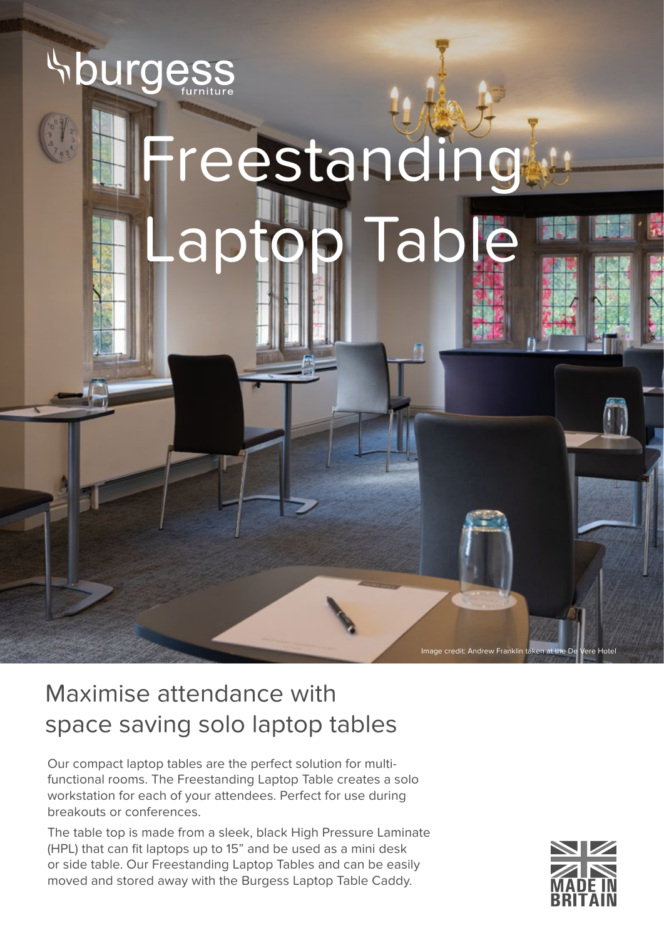

## Maximise attendance with space saving solo laptop tables

Our compact laptop tables are the perfect solution for multifunctional rooms. The Freestanding Laptop Table creates a solo workstation for each of your attendees. Perfect for use during breakouts or conferences.

The table top is made from a sleek, black High Pressure Laminate (HPL) that can fit laptops up to 15" and be used as a mini desk or side table. Our Freestanding Laptop Tables and can be easily moved and stored away with the Burgess Laptop Table Caddy.



Image credit: Andrew Franklin taken at the De